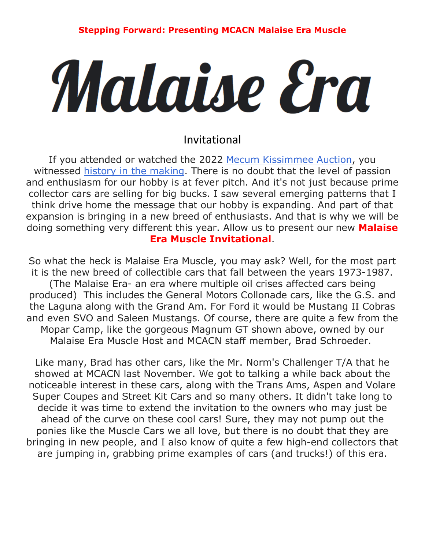## Malaise Era

## Invitational

If you attended or watched the 2022 [Mecum Kissimmee Auction,](http://www.mecum.com/) you witnessed [history in the making.](https://www.hemmings.com/stories/2022/01/14/midway-through-mecums-2022-kissimmee-auction-trends-are-showing) There is no doubt that the level of passion and enthusiasm for our hobby is at fever pitch. And it's not just because prime collector cars are selling for big bucks. I saw several emerging patterns that I think drive home the message that our hobby is expanding. And part of that expansion is bringing in a new breed of enthusiasts. And that is why we will be doing something very different this year. Allow us to present our new **Malaise Era Muscle Invitational**.

So what the heck is Malaise Era Muscle, you may ask? Well, for the most part it is the new breed of collectible cars that fall between the years 1973-1987. (The Malaise Era- an era where multiple oil crises affected cars being produced) This includes the General Motors Collonade cars, like the G.S. and the Laguna along with the Grand Am. For Ford it would be Mustang II Cobras and even SVO and Saleen Mustangs. Of course, there are quite a few from the Mopar Camp, like the gorgeous Magnum GT shown above, owned by our Malaise Era Muscle Host and MCACN staff member, Brad Schroeder.

Like many, Brad has other cars, like the Mr. Norm's Challenger T/A that he showed at MCACN last November. We got to talking a while back about the noticeable interest in these cars, along with the Trans Ams, Aspen and Volare Super Coupes and Street Kit Cars and so many others. It didn't take long to decide it was time to extend the invitation to the owners who may just be ahead of the curve on these cool cars! Sure, they may not pump out the ponies like the Muscle Cars we all love, but there is no doubt that they are bringing in new people, and I also know of quite a few high-end collectors that are jumping in, grabbing prime examples of cars (and trucks!) of this era.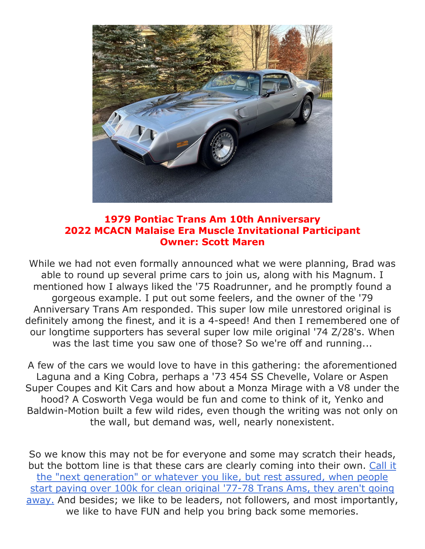

## **1979 Pontiac Trans Am 10th Anniversary 2022 MCACN Malaise Era Muscle Invitational Participant Owner: Scott Maren**

While we had not even formally announced what we were planning, Brad was able to round up several prime cars to join us, along with his Magnum. I mentioned how I always liked the '75 Roadrunner, and he promptly found a gorgeous example. I put out some feelers, and the owner of the '79 Anniversary Trans Am responded. This super low mile unrestored original is definitely among the finest, and it is a 4-speed! And then I remembered one of our longtime supporters has several super low mile original '74 Z/28's. When was the last time you saw one of those? So we're off and running...

A few of the cars we would love to have in this gathering: the aforementioned Laguna and a King Cobra, perhaps a '73 454 SS Chevelle, Volare or Aspen Super Coupes and Kit Cars and how about a Monza Mirage with a V8 under the hood? A Cosworth Vega would be fun and come to think of it, Yenko and Baldwin-Motion built a few wild rides, even though the writing was not only on the wall, but demand was, well, nearly nonexistent.

So we know this may not be for everyone and some may scratch their heads, but the bottom line is that these cars are clearly coming into their own. [Call it](https://www.hemmings.com/stories/2022/01/14/midway-through-mecums-2022-kissimmee-auction-trends-are-showing)  [the "next generation" or whatever you like, but rest assured, when people](https://www.hemmings.com/stories/2022/01/14/midway-through-mecums-2022-kissimmee-auction-trends-are-showing)  [start paying over 100k for clean original '77-78 Trans Ams, they aren't going](https://www.hemmings.com/stories/2022/01/14/midway-through-mecums-2022-kissimmee-auction-trends-are-showing)  [away.](https://www.hemmings.com/stories/2022/01/14/midway-through-mecums-2022-kissimmee-auction-trends-are-showing) And besides; we like to be leaders, not followers, and most importantly, we like to have FUN and help you bring back some memories.